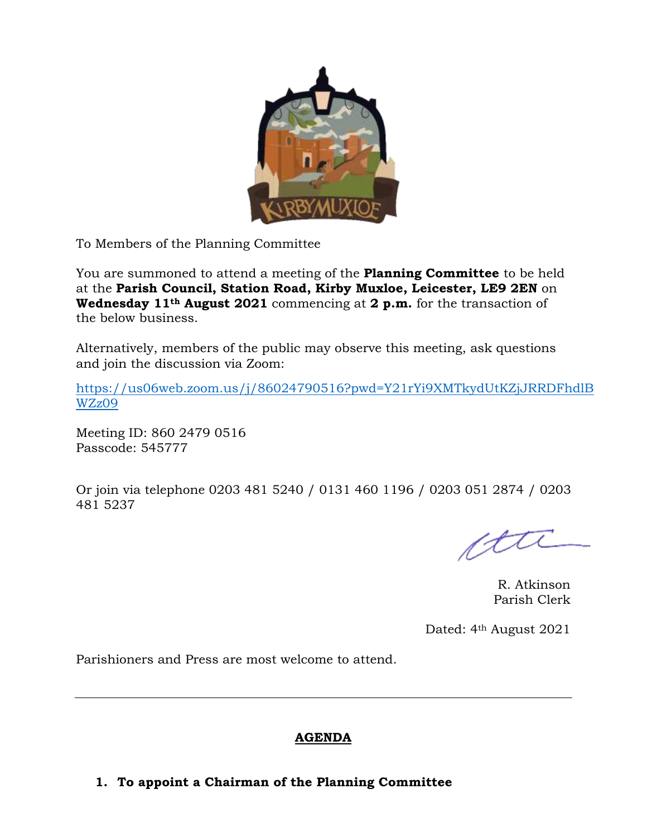

To Members of the Planning Committee

You are summoned to attend a meeting of the **Planning Committee** to be held at the **Parish Council, Station Road, Kirby Muxloe, Leicester, LE9 2EN** on **Wednesday 11th August 2021** commencing at **2 p.m.** for the transaction of the below business.

Alternatively, members of the public may observe this meeting, ask questions and join the discussion via Zoom:

[https://us06web.zoom.us/j/86024790516?pwd=Y21rYi9XMTkydUtKZjJRRDFhdlB](https://us06web.zoom.us/j/86024790516?pwd=Y21rYi9XMTkydUtKZjJRRDFhdlBWZz09) [WZz09](https://us06web.zoom.us/j/86024790516?pwd=Y21rYi9XMTkydUtKZjJRRDFhdlBWZz09)

Meeting ID: 860 2479 0516 Passcode: 545777

Or join via telephone 0203 481 5240 / 0131 460 1196 / 0203 051 2874 / 0203 481 5237

ytti

R. Atkinson Parish Clerk

Dated: 4th August 2021

Parishioners and Press are most welcome to attend.

# **AGENDA**

**1. To appoint a Chairman of the Planning Committee**